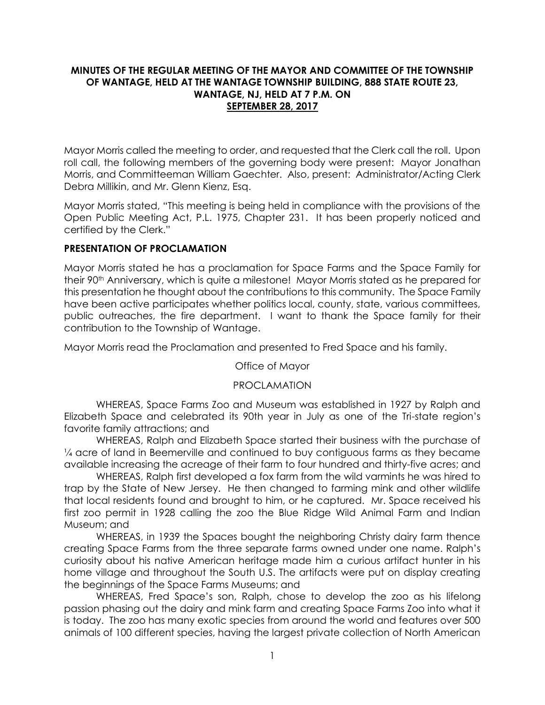## **MINUTES OF THE REGULAR MEETING OF THE MAYOR AND COMMITTEE OF THE TOWNSHIP OF WANTAGE, HELD AT THE WANTAGE TOWNSHIP BUILDING, 888 STATE ROUTE 23, WANTAGE, NJ, HELD AT 7 P.M. ON SEPTEMBER 28, 2017**

Mayor Morris called the meeting to order, and requested that the Clerk call the roll. Upon roll call, the following members of the governing body were present: Mayor Jonathan Morris, and Committeeman William Gaechter. Also, present: Administrator/Acting Clerk Debra Millikin, and Mr. Glenn Kienz, Esq.

Mayor Morris stated, "This meeting is being held in compliance with the provisions of the Open Public Meeting Act, P.L. 1975, Chapter 231. It has been properly noticed and certified by the Clerk."

# **PRESENTATION OF PROCLAMATION**

Mayor Morris stated he has a proclamation for Space Farms and the Space Family for their 90th Anniversary, which is quite a milestone! Mayor Morris stated as he prepared for this presentation he thought about the contributions to this community. The Space Family have been active participates whether politics local, county, state, various committees, public outreaches, the fire department. I want to thank the Space family for their contribution to the Township of Wantage.

Mayor Morris read the Proclamation and presented to Fred Space and his family.

## Office of Mayor

## PROCLAMATION

WHEREAS, Space Farms Zoo and Museum was established in 1927 by Ralph and Elizabeth Space and celebrated its 90th year in July as one of the Tri-state region's favorite family attractions; and

WHEREAS, Ralph and Elizabeth Space started their business with the purchase of ¼ acre of land in Beemerville and continued to buy contiguous farms as they became available increasing the acreage of their farm to four hundred and thirty-five acres; and

WHEREAS, Ralph first developed a fox farm from the wild varmints he was hired to trap by the State of New Jersey. He then changed to farming mink and other wildlife that local residents found and brought to him, or he captured. Mr. Space received his first zoo permit in 1928 calling the zoo the Blue Ridge Wild Animal Farm and Indian Museum; and

WHEREAS, in 1939 the Spaces bought the neighboring Christy dairy farm thence creating Space Farms from the three separate farms owned under one name. Ralph's curiosity about his native American heritage made him a curious artifact hunter in his home village and throughout the South U.S. The artifacts were put on display creating the beginnings of the Space Farms Museums; and

WHEREAS, Fred Space's son, Ralph, chose to develop the zoo as his lifelong passion phasing out the dairy and mink farm and creating Space Farms Zoo into what it is today. The zoo has many exotic species from around the world and features over 500 animals of 100 different species, having the largest private collection of North American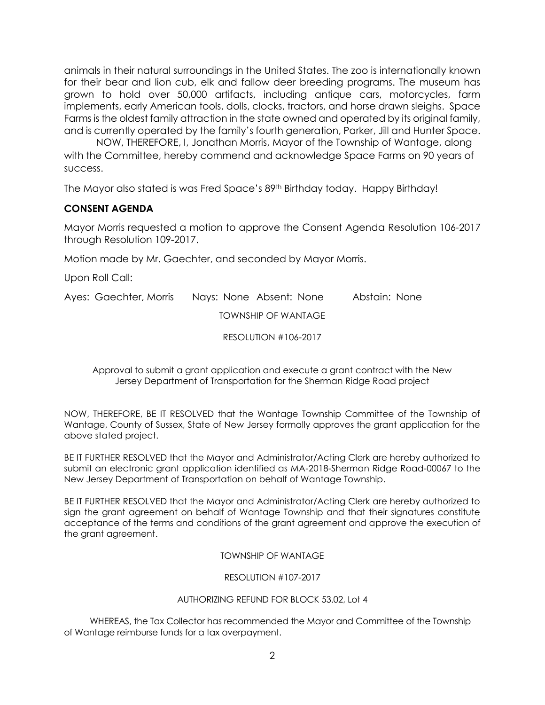animals in their natural surroundings in the United States. The zoo is internationally known for their bear and lion cub, elk and fallow deer breeding programs. The museum has grown to hold over 50,000 artifacts, including antique cars, motorcycles, farm implements, early American tools, dolls, clocks, tractors, and horse drawn sleighs. Space Farms is the oldest family attraction in the state owned and operated by its original family, and is currently operated by the family's fourth generation, Parker, Jill and Hunter Space.

NOW, THEREFORE, I, Jonathan Morris, Mayor of the Township of Wantage, along with the Committee, hereby commend and acknowledge Space Farms on 90 years of success.

The Mayor also stated is was Fred Space's 89<sup>th</sup> Birthday today. Happy Birthday!

# **CONSENT AGENDA**

Mayor Morris requested a motion to approve the Consent Agenda Resolution 106-2017 through Resolution 109-2017.

Motion made by Mr. Gaechter, and seconded by Mayor Morris.

Upon Roll Call:

Ayes: Gaechter, Morris Nays: None Absent: None Abstain: None TOWNSHIP OF WANTAGE

RESOLUTION #106-2017

Approval to submit a grant application and execute a grant contract with the New Jersey Department of Transportation for the Sherman Ridge Road project

NOW, THEREFORE, BE IT RESOLVED that the Wantage Township Committee of the Township of Wantage, County of Sussex, State of New Jersey formally approves the grant application for the above stated project.

BE IT FURTHER RESOLVED that the Mayor and Administrator/Acting Clerk are hereby authorized to submit an electronic grant application identified as MA-2018-Sherman Ridge Road-00067 to the New Jersey Department of Transportation on behalf of Wantage Township.

BE IT FURTHER RESOLVED that the Mayor and Administrator/Acting Clerk are hereby authorized to sign the grant agreement on behalf of Wantage Township and that their signatures constitute acceptance of the terms and conditions of the grant agreement and approve the execution of the grant agreement.

TOWNSHIP OF WANTAGE

RESOLUTION #107-2017

### AUTHORIZING REFUND FOR BLOCK 53.02, Lot 4

 WHEREAS, the Tax Collector has recommended the Mayor and Committee of the Township of Wantage reimburse funds for a tax overpayment.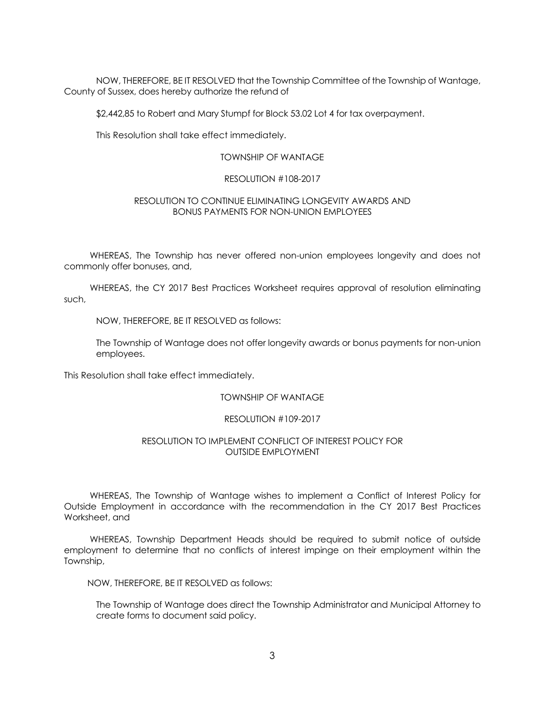NOW, THEREFORE, BE IT RESOLVED that the Township Committee of the Township of Wantage, County of Sussex, does hereby authorize the refund of

\$2,442,85 to Robert and Mary Stumpf for Block 53.02 Lot 4 for tax overpayment.

This Resolution shall take effect immediately.

### TOWNSHIP OF WANTAGE

#### RESOLUTION #108-2017

#### RESOLUTION TO CONTINUE ELIMINATING LONGEVITY AWARDS AND BONUS PAYMENTS FOR NON-UNION EMPLOYEES

 WHEREAS, The Township has never offered non-union employees longevity and does not commonly offer bonuses, and,

 WHEREAS, the CY 2017 Best Practices Worksheet requires approval of resolution eliminating such,

NOW, THEREFORE, BE IT RESOLVED as follows:

The Township of Wantage does not offer longevity awards or bonus payments for non-union employees.

This Resolution shall take effect immediately.

### TOWNSHIP OF WANTAGE

#### RESOLUTION #109-2017

### RESOLUTION TO IMPLEMENT CONFLICT OF INTEREST POLICY FOR OUTSIDE EMPLOYMENT

 WHEREAS, The Township of Wantage wishes to implement a Conflict of Interest Policy for Outside Employment in accordance with the recommendation in the CY 2017 Best Practices Worksheet, and

 WHEREAS, Township Department Heads should be required to submit notice of outside employment to determine that no conflicts of interest impinge on their employment within the Township,

NOW, THEREFORE, BE IT RESOLVED as follows:

The Township of Wantage does direct the Township Administrator and Municipal Attorney to create forms to document said policy.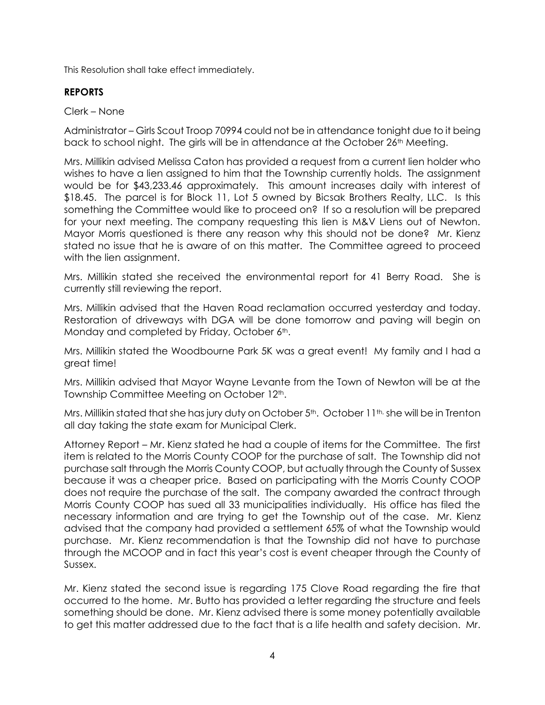This Resolution shall take effect immediately.

# **REPORTS**

Clerk – None

Administrator – Girls Scout Troop 70994 could not be in attendance tonight due to it being back to school night. The girls will be in attendance at the October 26<sup>th</sup> Meeting.

Mrs. Millikin advised Melissa Caton has provided a request from a current lien holder who wishes to have a lien assigned to him that the Township currently holds. The assignment would be for \$43,233.46 approximately. This amount increases daily with interest of \$18.45. The parcel is for Block 11, Lot 5 owned by Bicsak Brothers Realty, LLC. Is this something the Committee would like to proceed on? If so a resolution will be prepared for your next meeting. The company requesting this lien is M&V Liens out of Newton. Mayor Morris questioned is there any reason why this should not be done? Mr. Kienz stated no issue that he is aware of on this matter. The Committee agreed to proceed with the lien assignment.

Mrs. Millikin stated she received the environmental report for 41 Berry Road. She is currently still reviewing the report.

Mrs. Millikin advised that the Haven Road reclamation occurred yesterday and today. Restoration of driveways with DGA will be done tomorrow and paving will begin on Monday and completed by Friday, October 6<sup>th</sup>.

Mrs. Millikin stated the Woodbourne Park 5K was a great event! My family and I had a great time!

Mrs. Millikin advised that Mayor Wayne Levante from the Town of Newton will be at the Township Committee Meeting on October 12<sup>th</sup>.

Mrs. Millikin stated that she has jury duty on October  $5<sup>th</sup>$ . October 11<sup>th, she will be in Trenton</sup> all day taking the state exam for Municipal Clerk.

Attorney Report – Mr. Kienz stated he had a couple of items for the Committee. The first item is related to the Morris County COOP for the purchase of salt. The Township did not purchase salt through the Morris County COOP, but actually through the County of Sussex because it was a cheaper price. Based on participating with the Morris County COOP does not require the purchase of the salt. The company awarded the contract through Morris County COOP has sued all 33 municipalities individually. His office has filed the necessary information and are trying to get the Township out of the case. Mr. Kienz advised that the company had provided a settlement 65% of what the Township would purchase. Mr. Kienz recommendation is that the Township did not have to purchase through the MCOOP and in fact this year's cost is event cheaper through the County of Sussex.

Mr. Kienz stated the second issue is regarding 175 Clove Road regarding the fire that occurred to the home. Mr. Butto has provided a letter regarding the structure and feels something should be done. Mr. Kienz advised there is some money potentially available to get this matter addressed due to the fact that is a life health and safety decision. Mr.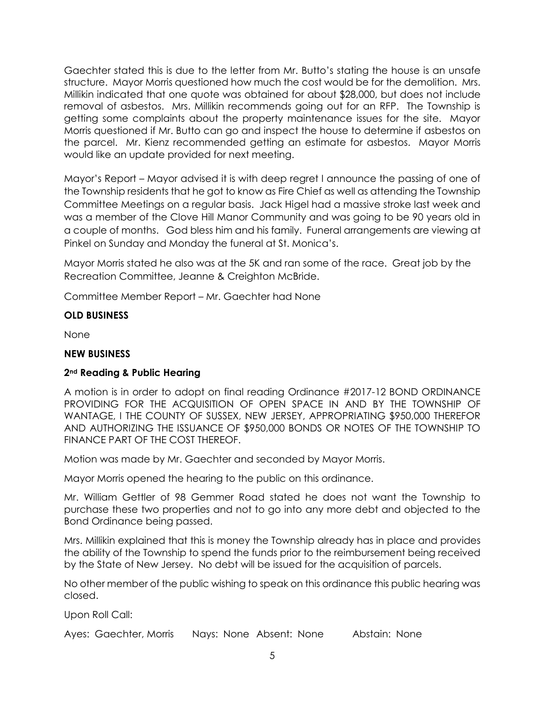Gaechter stated this is due to the letter from Mr. Butto's stating the house is an unsafe structure. Mayor Morris questioned how much the cost would be for the demolition. Mrs. Millikin indicated that one quote was obtained for about \$28,000, but does not include removal of asbestos. Mrs. Millikin recommends going out for an RFP. The Township is getting some complaints about the property maintenance issues for the site. Mayor Morris questioned if Mr. Butto can go and inspect the house to determine if asbestos on the parcel. Mr. Kienz recommended getting an estimate for asbestos. Mayor Morris would like an update provided for next meeting.

Mayor's Report – Mayor advised it is with deep regret I announce the passing of one of the Township residents that he got to know as Fire Chief as well as attending the Township Committee Meetings on a regular basis. Jack Higel had a massive stroke last week and was a member of the Clove Hill Manor Community and was going to be 90 years old in a couple of months. God bless him and his family. Funeral arrangements are viewing at Pinkel on Sunday and Monday the funeral at St. Monica's.

Mayor Morris stated he also was at the 5K and ran some of the race. Great job by the Recreation Committee, Jeanne & Creighton McBride.

Committee Member Report – Mr. Gaechter had None

# **OLD BUSINESS**

None

# **NEW BUSINESS**

# **2nd Reading & Public Hearing**

A motion is in order to adopt on final reading Ordinance #2017-12 BOND ORDINANCE PROVIDING FOR THE ACQUISITION OF OPEN SPACE IN AND BY THE TOWNSHIP OF WANTAGE, I THE COUNTY OF SUSSEX, NEW JERSEY, APPROPRIATING \$950,000 THEREFOR AND AUTHORIZING THE ISSUANCE OF \$950,000 BONDS OR NOTES OF THE TOWNSHIP TO FINANCE PART OF THE COST THEREOF.

Motion was made by Mr. Gaechter and seconded by Mayor Morris.

Mayor Morris opened the hearing to the public on this ordinance.

Mr. William Gettler of 98 Gemmer Road stated he does not want the Township to purchase these two properties and not to go into any more debt and objected to the Bond Ordinance being passed.

Mrs. Millikin explained that this is money the Township already has in place and provides the ability of the Township to spend the funds prior to the reimbursement being received by the State of New Jersey. No debt will be issued for the acquisition of parcels.

No other member of the public wishing to speak on this ordinance this public hearing was closed.

Upon Roll Call:

Ayes: Gaechter, Morris Nays: None Absent: None Abstain: None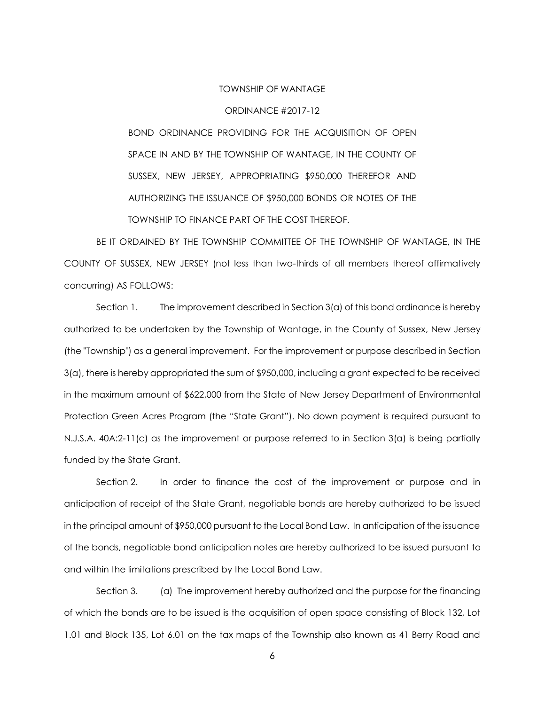#### TOWNSHIP OF WANTAGE

#### ORDINANCE #2017-12

BOND ORDINANCE PROVIDING FOR THE ACQUISITION OF OPEN SPACE IN AND BY THE TOWNSHIP OF WANTAGE, IN THE COUNTY OF SUSSEX, NEW JERSEY, APPROPRIATING \$950,000 THEREFOR AND AUTHORIZING THE ISSUANCE OF \$950,000 BONDS OR NOTES OF THE TOWNSHIP TO FINANCE PART OF THE COST THEREOF.

BE IT ORDAINED BY THE TOWNSHIP COMMITTEE OF THE TOWNSHIP OF WANTAGE, IN THE COUNTY OF SUSSEX, NEW JERSEY (not less than two-thirds of all members thereof affirmatively concurring) AS FOLLOWS:

Section 1. The improvement described in Section 3(a) of this bond ordinance is hereby authorized to be undertaken by the Township of Wantage, in the County of Sussex, New Jersey (the "Township") as a general improvement. For the improvement or purpose described in Section 3(a), there is hereby appropriated the sum of \$950,000, including a grant expected to be received in the maximum amount of \$622,000 from the State of New Jersey Department of Environmental Protection Green Acres Program (the "State Grant"). No down payment is required pursuant to N.J.S.A. 40A:2-11(c) as the improvement or purpose referred to in Section 3(a) is being partially funded by the State Grant.

Section 2. In order to finance the cost of the improvement or purpose and in anticipation of receipt of the State Grant, negotiable bonds are hereby authorized to be issued in the principal amount of \$950,000 pursuant to the Local Bond Law. In anticipation of the issuance of the bonds, negotiable bond anticipation notes are hereby authorized to be issued pursuant to and within the limitations prescribed by the Local Bond Law.

Section 3. (a) The improvement hereby authorized and the purpose for the financing of which the bonds are to be issued is the acquisition of open space consisting of Block 132, Lot 1.01 and Block 135, Lot 6.01 on the tax maps of the Township also known as 41 Berry Road and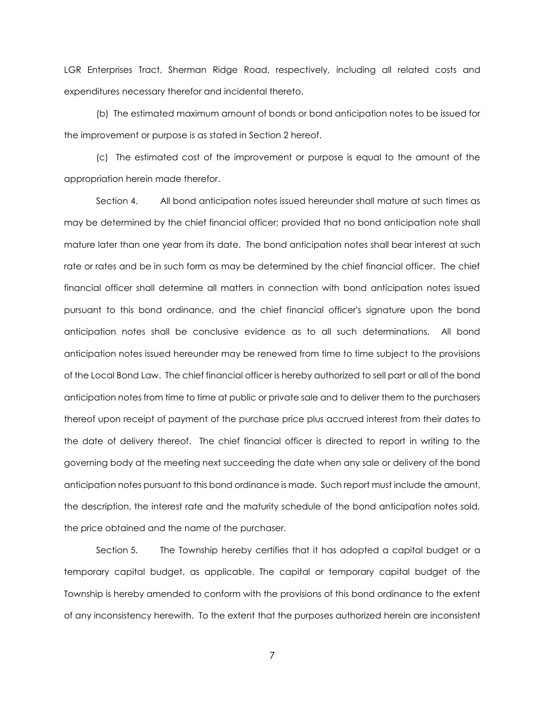LGR Enterprises Tract, Sherman Ridge Road, respectively, including all related costs and expenditures necessary therefor and incidental thereto.

(b) The estimated maximum amount of bonds or bond anticipation notes to be issued for the improvement or purpose is as stated in Section 2 hereof.

(c) The estimated cost of the improvement or purpose is equal to the amount of the appropriation herein made therefor.

Section 4. All bond anticipation notes issued hereunder shall mature at such times as may be determined by the chief financial officer; provided that no bond anticipation note shall mature later than one year from its date. The bond anticipation notes shall bear interest at such rate or rates and be in such form as may be determined by the chief financial officer. The chief financial officer shall determine all matters in connection with bond anticipation notes issued pursuant to this bond ordinance, and the chief financial officer's signature upon the bond anticipation notes shall be conclusive evidence as to all such determinations. All bond anticipation notes issued hereunder may be renewed from time to time subject to the provisions of the Local Bond Law. The chief financial officer is hereby authorized to sell part or all of the bond anticipation notes from time to time at public or private sale and to deliver them to the purchasers thereof upon receipt of payment of the purchase price plus accrued interest from their dates to the date of delivery thereof. The chief financial officer is directed to report in writing to the governing body at the meeting next succeeding the date when any sale or delivery of the bond anticipation notes pursuant to this bond ordinance is made. Such report must include the amount, the description, the interest rate and the maturity schedule of the bond anticipation notes sold, the price obtained and the name of the purchaser.

Section 5. The Township hereby certifies that it has adopted a capital budget or a temporary capital budget, as applicable. The capital or temporary capital budget of the Township is hereby amended to conform with the provisions of this bond ordinance to the extent of any inconsistency herewith. To the extent that the purposes authorized herein are inconsistent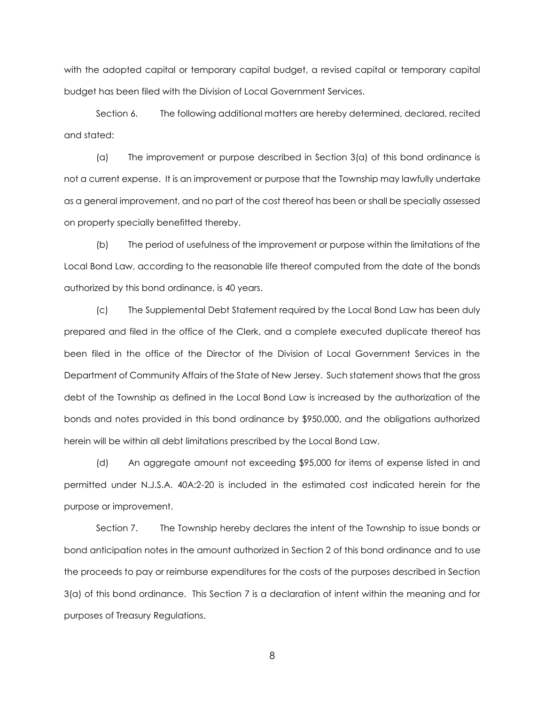with the adopted capital or temporary capital budget, a revised capital or temporary capital budget has been filed with the Division of Local Government Services.

Section 6. The following additional matters are hereby determined, declared, recited and stated:

(a) The improvement or purpose described in Section 3(a) of this bond ordinance is not a current expense. It is an improvement or purpose that the Township may lawfully undertake as a general improvement, and no part of the cost thereof has been or shall be specially assessed on property specially benefitted thereby.

(b) The period of usefulness of the improvement or purpose within the limitations of the Local Bond Law, according to the reasonable life thereof computed from the date of the bonds authorized by this bond ordinance, is 40 years.

(c) The Supplemental Debt Statement required by the Local Bond Law has been duly prepared and filed in the office of the Clerk, and a complete executed duplicate thereof has been filed in the office of the Director of the Division of Local Government Services in the Department of Community Affairs of the State of New Jersey. Such statement shows that the gross debt of the Township as defined in the Local Bond Law is increased by the authorization of the bonds and notes provided in this bond ordinance by \$950,000, and the obligations authorized herein will be within all debt limitations prescribed by the Local Bond Law.

(d) An aggregate amount not exceeding \$95,000 for items of expense listed in and permitted under N.J.S.A. 40A:2-20 is included in the estimated cost indicated herein for the purpose or improvement.

Section 7. The Township hereby declares the intent of the Township to issue bonds or bond anticipation notes in the amount authorized in Section 2 of this bond ordinance and to use the proceeds to pay or reimburse expenditures for the costs of the purposes described in Section 3(a) of this bond ordinance. This Section 7 is a declaration of intent within the meaning and for purposes of Treasury Regulations.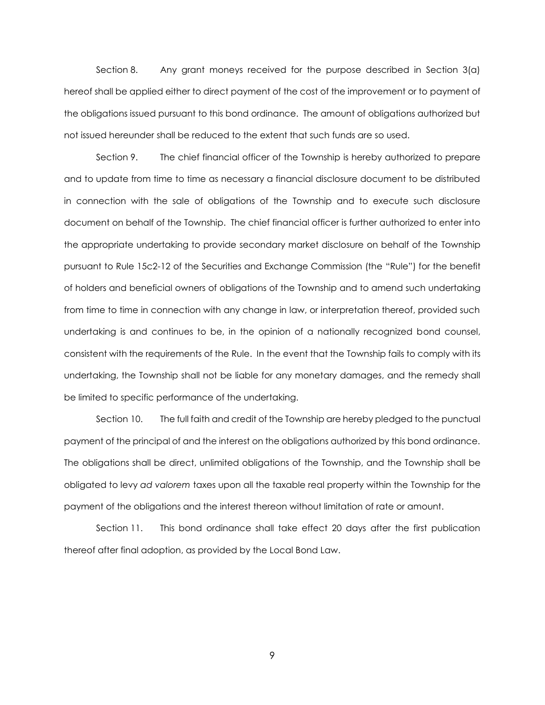Section 8. Any grant moneys received for the purpose described in Section 3(a) hereof shall be applied either to direct payment of the cost of the improvement or to payment of the obligations issued pursuant to this bond ordinance. The amount of obligations authorized but not issued hereunder shall be reduced to the extent that such funds are so used.

Section 9. The chief financial officer of the Township is hereby authorized to prepare and to update from time to time as necessary a financial disclosure document to be distributed in connection with the sale of obligations of the Township and to execute such disclosure document on behalf of the Township. The chief financial officer is further authorized to enter into the appropriate undertaking to provide secondary market disclosure on behalf of the Township pursuant to Rule 15c2-12 of the Securities and Exchange Commission (the "Rule") for the benefit of holders and beneficial owners of obligations of the Township and to amend such undertaking from time to time in connection with any change in law, or interpretation thereof, provided such undertaking is and continues to be, in the opinion of a nationally recognized bond counsel, consistent with the requirements of the Rule. In the event that the Township fails to comply with its undertaking, the Township shall not be liable for any monetary damages, and the remedy shall be limited to specific performance of the undertaking.

Section 10. The full faith and credit of the Township are hereby pledged to the punctual payment of the principal of and the interest on the obligations authorized by this bond ordinance. The obligations shall be direct, unlimited obligations of the Township, and the Township shall be obligated to levy *ad valorem* taxes upon all the taxable real property within the Township for the payment of the obligations and the interest thereon without limitation of rate or amount.

Section 11. This bond ordinance shall take effect 20 days after the first publication thereof after final adoption, as provided by the Local Bond Law.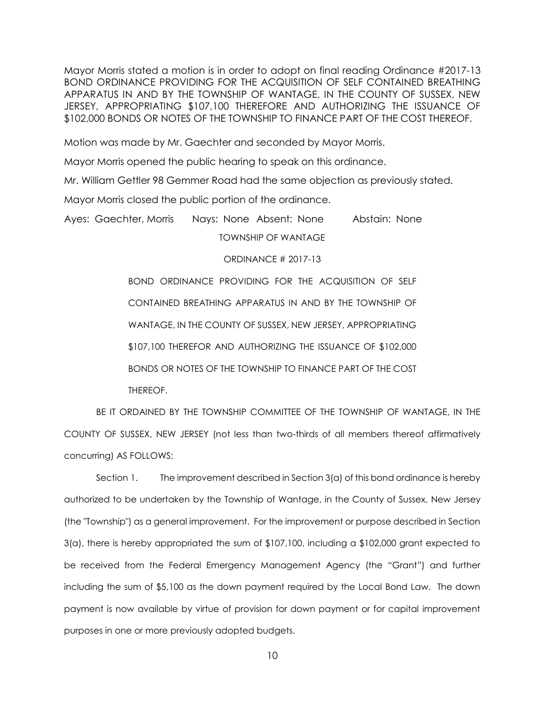Mayor Morris stated a motion is in order to adopt on final reading Ordinance #2017-13 BOND ORDINANCE PROVIDING FOR THE ACQUISITION OF SELF CONTAINED BREATHING APPARATUS IN AND BY THE TOWNSHIP OF WANTAGE, IN THE COUNTY OF SUSSEX, NEW JERSEY, APPROPRIATING \$107,100 THEREFORE AND AUTHORIZING THE ISSUANCE OF \$102,000 BONDS OR NOTES OF THE TOWNSHIP TO FINANCE PART OF THE COST THEREOF.

Motion was made by Mr. Gaechter and seconded by Mayor Morris.

Mayor Morris opened the public hearing to speak on this ordinance.

Mr. William Gettler 98 Gemmer Road had the same objection as previously stated.

Mayor Morris closed the public portion of the ordinance.

Ayes: Gaechter, Morris Nays: None Absent: None Abstain: None TOWNSHIP OF WANTAGE

ORDINANCE # 2017-13

BOND ORDINANCE PROVIDING FOR THE ACQUISITION OF SELF CONTAINED BREATHING APPARATUS IN AND BY THE TOWNSHIP OF WANTAGE, IN THE COUNTY OF SUSSEX, NEW JERSEY, APPROPRIATING \$107,100 THEREFOR AND AUTHORIZING THE ISSUANCE OF \$102,000 BONDS OR NOTES OF THE TOWNSHIP TO FINANCE PART OF THE COST THEREOF.

BE IT ORDAINED BY THE TOWNSHIP COMMITTEE OF THE TOWNSHIP OF WANTAGE, IN THE COUNTY OF SUSSEX, NEW JERSEY (not less than two-thirds of all members thereof affirmatively concurring) AS FOLLOWS:

Section 1. The improvement described in Section 3(a) of this bond ordinance is hereby authorized to be undertaken by the Township of Wantage, in the County of Sussex, New Jersey (the "Township") as a general improvement. For the improvement or purpose described in Section 3(a), there is hereby appropriated the sum of \$107,100, including a \$102,000 grant expected to be received from the Federal Emergency Management Agency (the "Grant") and further including the sum of \$5,100 as the down payment required by the Local Bond Law. The down payment is now available by virtue of provision for down payment or for capital improvement purposes in one or more previously adopted budgets.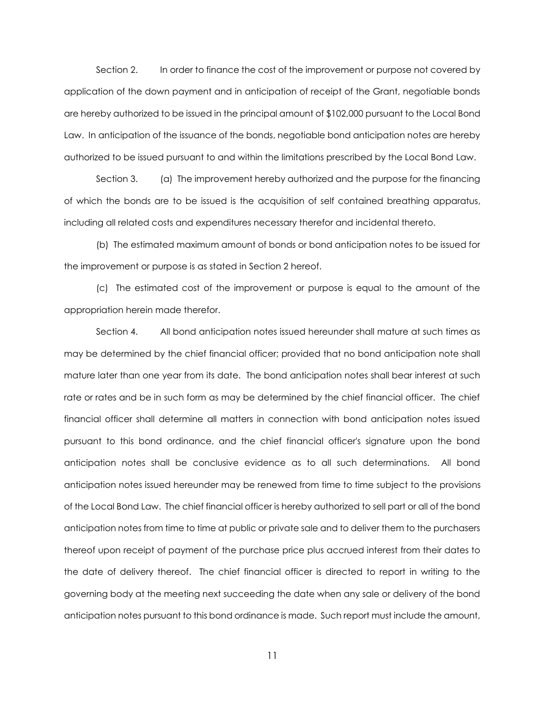Section 2. In order to finance the cost of the improvement or purpose not covered by application of the down payment and in anticipation of receipt of the Grant, negotiable bonds are hereby authorized to be issued in the principal amount of \$102,000 pursuant to the Local Bond Law. In anticipation of the issuance of the bonds, negotiable bond anticipation notes are hereby authorized to be issued pursuant to and within the limitations prescribed by the Local Bond Law.

Section 3. (a) The improvement hereby authorized and the purpose for the financing of which the bonds are to be issued is the acquisition of self contained breathing apparatus, including all related costs and expenditures necessary therefor and incidental thereto.

(b) The estimated maximum amount of bonds or bond anticipation notes to be issued for the improvement or purpose is as stated in Section 2 hereof.

(c) The estimated cost of the improvement or purpose is equal to the amount of the appropriation herein made therefor.

Section 4. All bond anticipation notes issued hereunder shall mature at such times as may be determined by the chief financial officer; provided that no bond anticipation note shall mature later than one year from its date. The bond anticipation notes shall bear interest at such rate or rates and be in such form as may be determined by the chief financial officer. The chief financial officer shall determine all matters in connection with bond anticipation notes issued pursuant to this bond ordinance, and the chief financial officer's signature upon the bond anticipation notes shall be conclusive evidence as to all such determinations. All bond anticipation notes issued hereunder may be renewed from time to time subject to the provisions of the Local Bond Law. The chief financial officer is hereby authorized to sell part or all of the bond anticipation notes from time to time at public or private sale and to deliver them to the purchasers thereof upon receipt of payment of the purchase price plus accrued interest from their dates to the date of delivery thereof. The chief financial officer is directed to report in writing to the governing body at the meeting next succeeding the date when any sale or delivery of the bond anticipation notes pursuant to this bond ordinance is made. Such report must include the amount,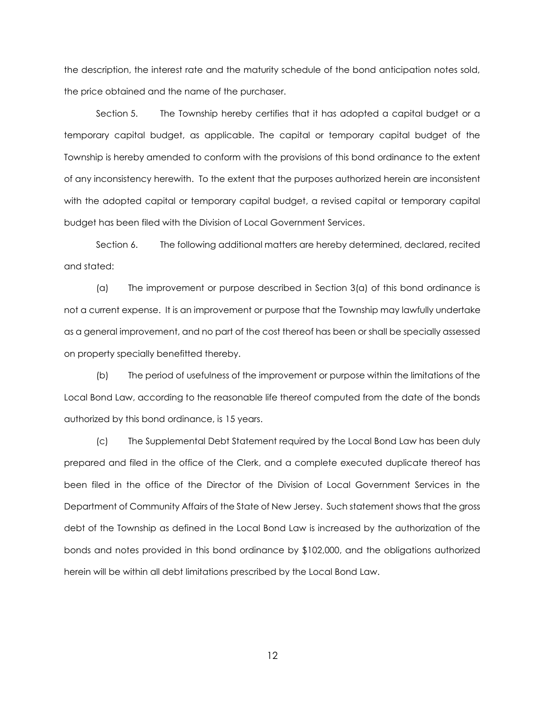the description, the interest rate and the maturity schedule of the bond anticipation notes sold, the price obtained and the name of the purchaser.

Section 5. The Township hereby certifies that it has adopted a capital budget or a temporary capital budget, as applicable. The capital or temporary capital budget of the Township is hereby amended to conform with the provisions of this bond ordinance to the extent of any inconsistency herewith. To the extent that the purposes authorized herein are inconsistent with the adopted capital or temporary capital budget, a revised capital or temporary capital budget has been filed with the Division of Local Government Services.

Section 6. The following additional matters are hereby determined, declared, recited and stated:

(a) The improvement or purpose described in Section 3(a) of this bond ordinance is not a current expense. It is an improvement or purpose that the Township may lawfully undertake as a general improvement, and no part of the cost thereof has been or shall be specially assessed on property specially benefitted thereby.

(b) The period of usefulness of the improvement or purpose within the limitations of the Local Bond Law, according to the reasonable life thereof computed from the date of the bonds authorized by this bond ordinance, is 15 years.

(c) The Supplemental Debt Statement required by the Local Bond Law has been duly prepared and filed in the office of the Clerk, and a complete executed duplicate thereof has been filed in the office of the Director of the Division of Local Government Services in the Department of Community Affairs of the State of New Jersey. Such statement shows that the gross debt of the Township as defined in the Local Bond Law is increased by the authorization of the bonds and notes provided in this bond ordinance by \$102,000, and the obligations authorized herein will be within all debt limitations prescribed by the Local Bond Law.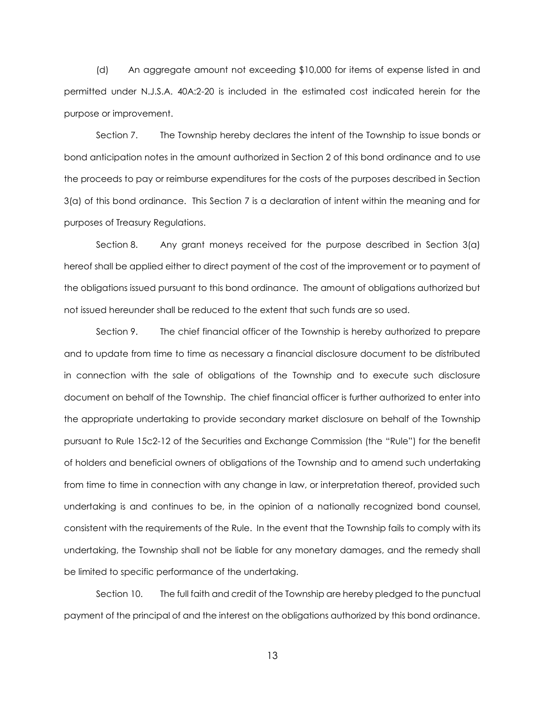(d) An aggregate amount not exceeding \$10,000 for items of expense listed in and permitted under N.J.S.A. 40A:2-20 is included in the estimated cost indicated herein for the purpose or improvement.

Section 7. The Township hereby declares the intent of the Township to issue bonds or bond anticipation notes in the amount authorized in Section 2 of this bond ordinance and to use the proceeds to pay or reimburse expenditures for the costs of the purposes described in Section 3(a) of this bond ordinance. This Section 7 is a declaration of intent within the meaning and for purposes of Treasury Regulations.

Section 8. Any grant moneys received for the purpose described in Section 3(a) hereof shall be applied either to direct payment of the cost of the improvement or to payment of the obligations issued pursuant to this bond ordinance. The amount of obligations authorized but not issued hereunder shall be reduced to the extent that such funds are so used.

Section 9. The chief financial officer of the Township is hereby authorized to prepare and to update from time to time as necessary a financial disclosure document to be distributed in connection with the sale of obligations of the Township and to execute such disclosure document on behalf of the Township. The chief financial officer is further authorized to enter into the appropriate undertaking to provide secondary market disclosure on behalf of the Township pursuant to Rule 15c2-12 of the Securities and Exchange Commission (the "Rule") for the benefit of holders and beneficial owners of obligations of the Township and to amend such undertaking from time to time in connection with any change in law, or interpretation thereof, provided such undertaking is and continues to be, in the opinion of a nationally recognized bond counsel, consistent with the requirements of the Rule. In the event that the Township fails to comply with its undertaking, the Township shall not be liable for any monetary damages, and the remedy shall be limited to specific performance of the undertaking.

Section 10. The full faith and credit of the Township are hereby pledged to the punctual payment of the principal of and the interest on the obligations authorized by this bond ordinance.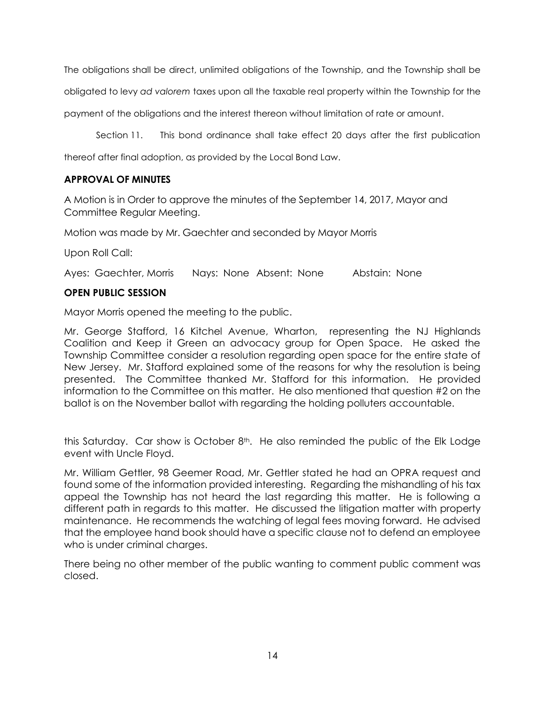The obligations shall be direct, unlimited obligations of the Township, and the Township shall be

obligated to levy *ad valorem* taxes upon all the taxable real property within the Township for the

payment of the obligations and the interest thereon without limitation of rate or amount.

Section 11. This bond ordinance shall take effect 20 days after the first publication

thereof after final adoption, as provided by the Local Bond Law.

### **APPROVAL OF MINUTES**

A Motion is in Order to approve the minutes of the September 14, 2017, Mayor and Committee Regular Meeting.

Motion was made by Mr. Gaechter and seconded by Mayor Morris

Upon Roll Call:

Ayes: Gaechter, Morris Nays: None Absent: None Abstain: None

### **OPEN PUBLIC SESSION**

Mayor Morris opened the meeting to the public.

Mr. George Stafford, 16 Kitchel Avenue, Wharton, representing the NJ Highlands Coalition and Keep it Green an advocacy group for Open Space. He asked the Township Committee consider a resolution regarding open space for the entire state of New Jersey. Mr. Stafford explained some of the reasons for why the resolution is being presented. The Committee thanked Mr. Stafford for this information. He provided information to the Committee on this matter. He also mentioned that question #2 on the ballot is on the November ballot with regarding the holding polluters accountable.

this Saturday. Car show is October  $8<sup>th</sup>$ . He also reminded the public of the Elk Lodge event with Uncle Floyd.

Mr. William Gettler, 98 Geemer Road, Mr. Gettler stated he had an OPRA request and found some of the information provided interesting. Regarding the mishandling of his tax appeal the Township has not heard the last regarding this matter. He is following a different path in regards to this matter. He discussed the litigation matter with property maintenance. He recommends the watching of legal fees moving forward. He advised that the employee hand book should have a specific clause not to defend an employee who is under criminal charges.

There being no other member of the public wanting to comment public comment was closed.